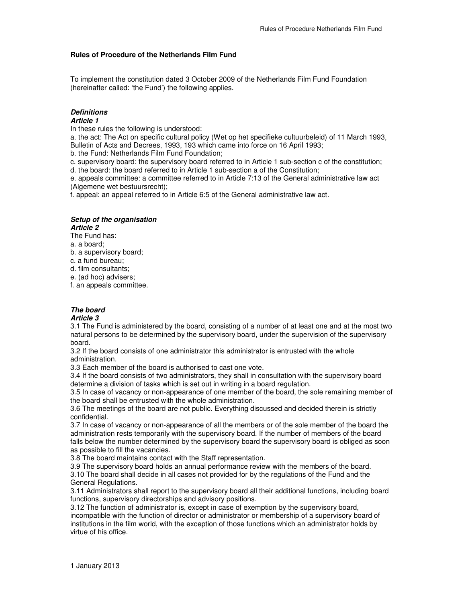### **Rules of Procedure of the Netherlands Film Fund**

To implement the constitution dated 3 October 2009 of the Netherlands Film Fund Foundation (hereinafter called: 'the Fund') the following applies.

### **Definitions**

#### **Article 1**

In these rules the following is understood:

a. the act: The Act on specific cultural policy (Wet op het specifieke cultuurbeleid) of 11 March 1993, Bulletin of Acts and Decrees, 1993, 193 which came into force on 16 April 1993;

b. the Fund: Netherlands Film Fund Foundation;

c. supervisory board: the supervisory board referred to in Article 1 sub-section c of the constitution;

d. the board: the board referred to in Article 1 sub-section a of the Constitution;

e. appeals committee: a committee referred to in Article 7:13 of the General administrative law act (Algemene wet bestuursrecht);

f. appeal: an appeal referred to in Article 6:5 of the General administrative law act.

#### **Setup of the organisation Article 2**

The Fund has:

a. a board;

- b. a supervisory board;
- c. a fund bureau;

d. film consultants;

e. (ad hoc) advisers;

f. an appeals committee.

### **The board**

#### **Article 3**

3.1 The Fund is administered by the board, consisting of a number of at least one and at the most two natural persons to be determined by the supervisory board, under the supervision of the supervisory board.

3.2 If the board consists of one administrator this administrator is entrusted with the whole administration.

3.3 Each member of the board is authorised to cast one vote.

3.4 If the board consists of two administrators, they shall in consultation with the supervisory board determine a division of tasks which is set out in writing in a board regulation.

3.5 In case of vacancy or non-appearance of one member of the board, the sole remaining member of the board shall be entrusted with the whole administration.

3.6 The meetings of the board are not public. Everything discussed and decided therein is strictly confidential.

3.7 In case of vacancy or non-appearance of all the members or of the sole member of the board the administration rests temporarily with the supervisory board. If the number of members of the board falls below the number determined by the supervisory board the supervisory board is obliged as soon as possible to fill the vacancies.

3.8 The board maintains contact with the Staff representation.

3.9 The supervisory board holds an annual performance review with the members of the board. 3.10 The board shall decide in all cases not provided for by the regulations of the Fund and the General Regulations.

3.11 Administrators shall report to the supervisory board all their additional functions, including board functions, supervisory directorships and advisory positions.

3.12 The function of administrator is, except in case of exemption by the supervisory board, incompatible with the function of director or administrator or membership of a supervisory board of institutions in the film world, with the exception of those functions which an administrator holds by virtue of his office.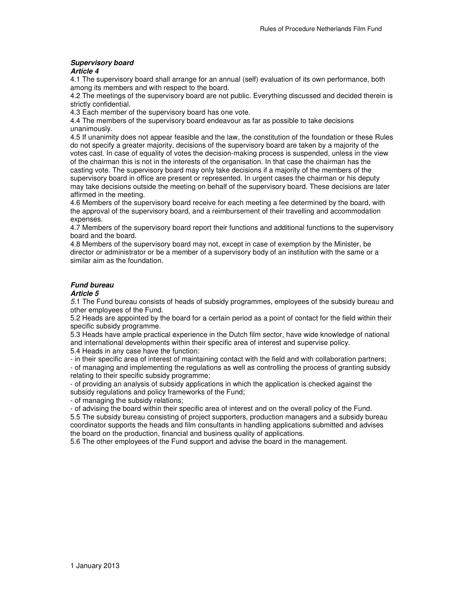# **Supervisory board**

**Article 4** 

4.1 The supervisory board shall arrange for an annual (self) evaluation of its own performance, both among its members and with respect to the board.

4.2 The meetings of the supervisory board are not public. Everything discussed and decided therein is strictly confidential.

4.3 Each member of the supervisory board has one vote.

4.4 The members of the supervisory board endeavour as far as possible to take decisions unanimously.

4.5 If unanimity does not appear feasible and the law, the constitution of the foundation or these Rules do not specify a greater majority, decisions of the supervisory board are taken by a majority of the votes cast. In case of equality of votes the decision-making process is suspended, unless in the view of the chairman this is not in the interests of the organisation. In that case the chairman has the casting vote. The supervisory board may only take decisions if a majority of the members of the supervisory board in office are present or represented. In urgent cases the chairman or his deputy may take decisions outside the meeting on behalf of the supervisory board. These decisions are later affirmed in the meeting.

4.6 Members of the supervisory board receive for each meeting a fee determined by the board, with the approval of the supervisory board, and a reimbursement of their travelling and accommodation expenses.

4.7 Members of the supervisory board report their functions and additional functions to the supervisory board and the board.

4.8 Members of the supervisory board may not, except in case of exemption by the Minister, be director or administrator or be a member of a supervisory body of an institution with the same or a similar aim as the foundation.

### **Fund bureau**

#### **Article 5**

5.1 The Fund bureau consists of heads of subsidy programmes, employees of the subsidy bureau and other employees of the Fund.

5.2 Heads are appointed by the board for a certain period as a point of contact for the field within their specific subsidy programme.

5.3 Heads have ample practical experience in the Dutch film sector, have wide knowledge of national and international developments within their specific area of interest and supervise policy.

5.4 Heads in any case have the function:

- in their specific area of interest of maintaining contact with the field and with collaboration partners;

- of managing and implementing the regulations as well as controlling the process of granting subsidy relating to their specific subsidy programme;

- of providing an analysis of subsidy applications in which the application is checked against the subsidy regulations and policy frameworks of the Fund;

- of managing the subsidy relations;

- of advising the board within their specific area of interest and on the overall policy of the Fund. 5.5 The subsidy bureau consisting of project supporters, production managers and a subsidy bureau coordinator supports the heads and film consultants in handling applications submitted and advises the board on the production, financial and business quality of applications.

5.6 The other employees of the Fund support and advise the board in the management.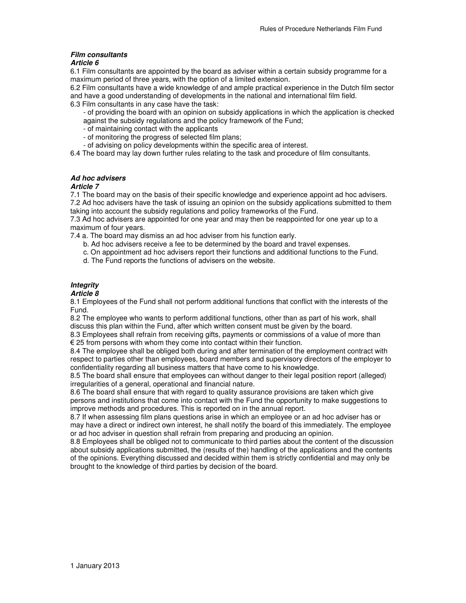## **Film consultants**

### **Article 6**

6.1 Film consultants are appointed by the board as adviser within a certain subsidy programme for a maximum period of three years, with the option of a limited extension.

6.2 Film consultants have a wide knowledge of and ample practical experience in the Dutch film sector and have a good understanding of developments in the national and international film field.

6.3 Film consultants in any case have the task:

- of providing the board with an opinion on subsidy applications in which the application is checked against the subsidy regulations and the policy framework of the Fund;

- of maintaining contact with the applicants
- of monitoring the progress of selected film plans;
- of advising on policy developments within the specific area of interest.

6.4 The board may lay down further rules relating to the task and procedure of film consultants.

### **Ad hoc advisers**

### **Article 7**

7.1 The board may on the basis of their specific knowledge and experience appoint ad hoc advisers. 7.2 Ad hoc advisers have the task of issuing an opinion on the subsidy applications submitted to them taking into account the subsidy regulations and policy frameworks of the Fund.

7.3 Ad hoc advisers are appointed for one year and may then be reappointed for one year up to a maximum of four years.

7.4 a. The board may dismiss an ad hoc adviser from his function early.

- b. Ad hoc advisers receive a fee to be determined by the board and travel expenses.
- c. On appointment ad hoc advisers report their functions and additional functions to the Fund.
- d. The Fund reports the functions of advisers on the website.

## **Integrity**

#### **Article 8**

8.1 Employees of the Fund shall not perform additional functions that conflict with the interests of the Fund.

8.2 The employee who wants to perform additional functions, other than as part of his work, shall discuss this plan within the Fund, after which written consent must be given by the board.

8.3 Employees shall refrain from receiving gifts, payments or commissions of a value of more than € 25 from persons with whom they come into contact within their function.

8.4 The employee shall be obliged both during and after termination of the employment contract with respect to parties other than employees, board members and supervisory directors of the employer to confidentiality regarding all business matters that have come to his knowledge.

8.5 The board shall ensure that employees can without danger to their legal position report (alleged) irregularities of a general, operational and financial nature.

8.6 The board shall ensure that with regard to quality assurance provisions are taken which give persons and institutions that come into contact with the Fund the opportunity to make suggestions to improve methods and procedures. This is reported on in the annual report.

8.7 If when assessing film plans questions arise in which an employee or an ad hoc adviser has or may have a direct or indirect own interest, he shall notify the board of this immediately. The employee or ad hoc adviser in question shall refrain from preparing and producing an opinion.

8.8 Employees shall be obliged not to communicate to third parties about the content of the discussion about subsidy applications submitted, the (results of the) handling of the applications and the contents of the opinions. Everything discussed and decided within them is strictly confidential and may only be brought to the knowledge of third parties by decision of the board.